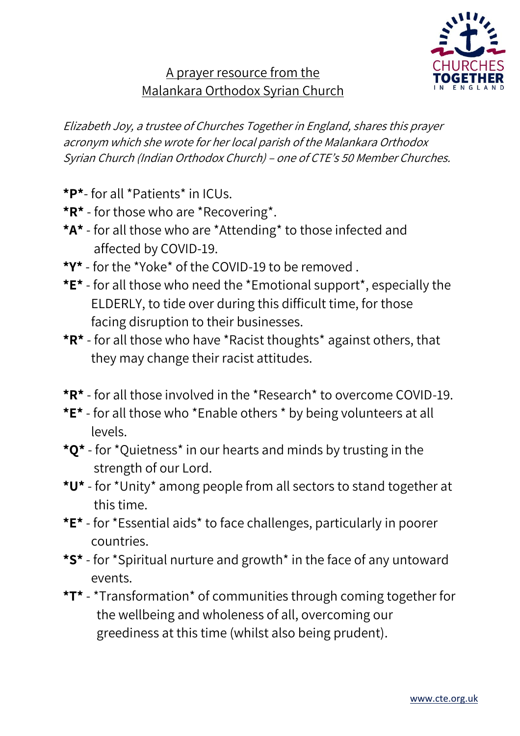

## A prayer resource from the Malankara Orthodox Syrian Church

Elizabeth Joy, a trustee of Churches Together in England, shares this prayer acronym which she wrote for her local parish of the Malankara Orthodox Syrian Church (Indian Orthodox Church) – one of CTE's 50 Member Churches.

- **\*P\*** for all \*Patients\* in ICUs.
- **\*R\*** for those who are \*Recovering\*.
- **\*A\*** for all those who are \*Attending\* to those infected and affected by COVID-19.
- **\*Y\*** for the \*Yoke\* of the COVID-19 to be removed .
- **\*E\*** for all those who need the \*Emotional support\*, especially the ELDERLY, to tide over during this difficult time, for those facing disruption to their businesses.
- **\*R\*** for all those who have \*Racist thoughts\* against others, that they may change their racist attitudes.
- **\*R\*** for all those involved in the \*Research\* to overcome COVID-19.
- **\*E\*** for all those who \*Enable others \* by being volunteers at all levels.
- **\*Q\*** for \*Quietness\* in our hearts and minds by trusting in the strength of our Lord.
- **\*U\*** for \*Unity\* among people from all sectors to stand together at this time.
- **\*E\*** for \*Essential aids\* to face challenges, particularly in poorer countries.
- **\*S\*** for \*Spiritual nurture and growth\* in the face of any untoward events.
- **\*T\*** \*Transformation\* of communities through coming together for the wellbeing and wholeness of all, overcoming our greediness at this time (whilst also being prudent).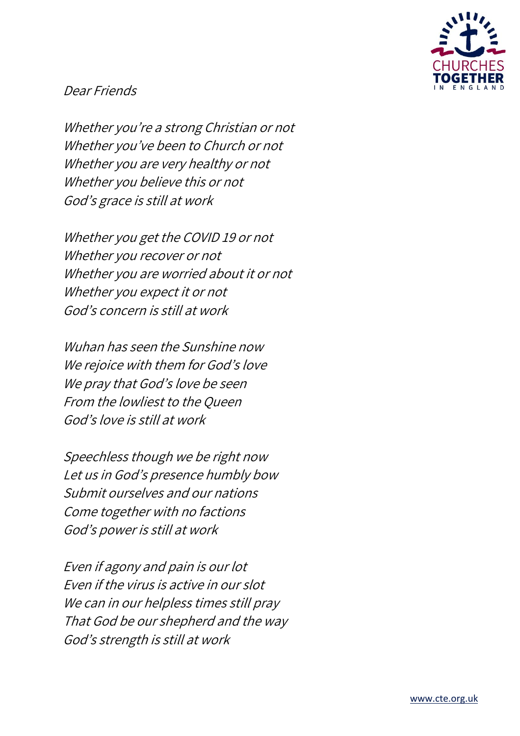

## Dear Friends

Whether you're a strong Christian or not Whether you've been to Church or not Whether you are very healthy or not Whether you believe this or not God's grace is still at work

Whether you get the COVID 19 or not Whether you recover or not Whether you are worried about it or not Whether you expect it or not God's concern is still at work

Wuhan has seen the Sunshine now We rejoice with them for God's love We pray that God's love be seen From the lowliest to the Queen God's love is still at work

Speechless though we be right now Let us in God's presence humbly bow Submit ourselves and our nations Come together with no factions God's power is still at work

Even if agony and pain is our lot Even if the virus is active in our slot We can in our helpless times still pray That God be our shepherd and the way God's strength is still at work